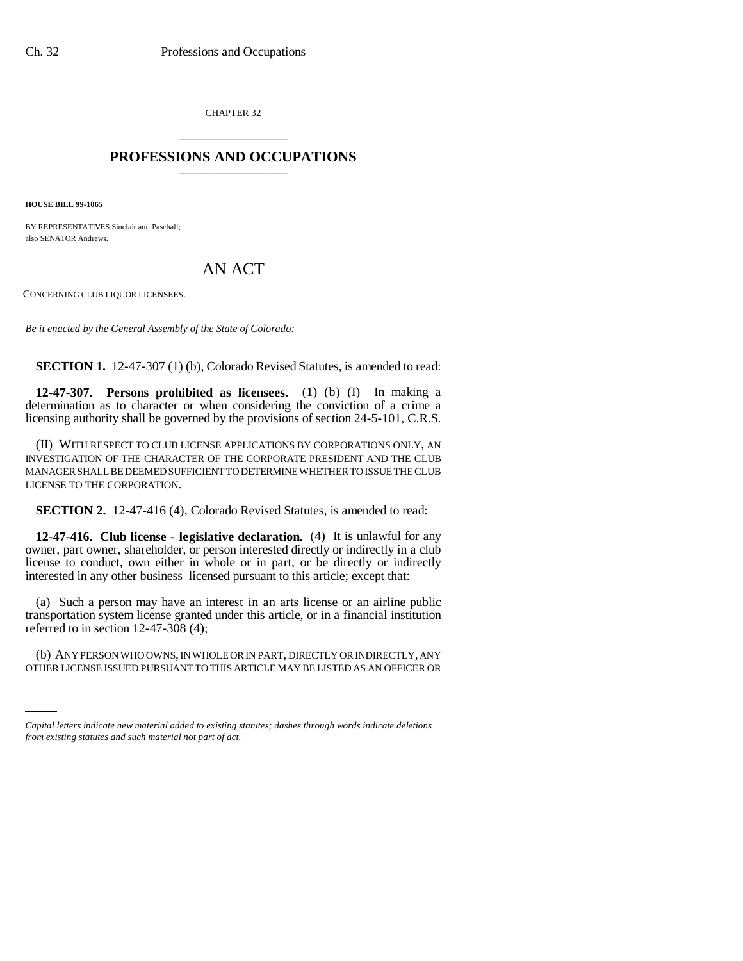CHAPTER 32 \_\_\_\_\_\_\_\_\_\_\_\_\_\_\_

## **PROFESSIONS AND OCCUPATIONS** \_\_\_\_\_\_\_\_\_\_\_\_\_\_\_

**HOUSE BILL 99-1065** 

BY REPRESENTATIVES Sinclair and Paschall; also SENATOR Andrews.

## AN ACT

CONCERNING CLUB LIQUOR LICENSEES.

*Be it enacted by the General Assembly of the State of Colorado:*

**SECTION 1.** 12-47-307 (1) (b), Colorado Revised Statutes, is amended to read:

**12-47-307. Persons prohibited as licensees.** (1) (b) (I) In making a determination as to character or when considering the conviction of a crime a licensing authority shall be governed by the provisions of section 24-5-101, C.R.S.

(II) WITH RESPECT TO CLUB LICENSE APPLICATIONS BY CORPORATIONS ONLY, AN INVESTIGATION OF THE CHARACTER OF THE CORPORATE PRESIDENT AND THE CLUB MANAGER SHALL BE DEEMED SUFFICIENT TO DETERMINE WHETHER TO ISSUE THE CLUB LICENSE TO THE CORPORATION.

**SECTION 2.** 12-47-416 (4), Colorado Revised Statutes, is amended to read:

**12-47-416. Club license - legislative declaration.** (4) It is unlawful for any owner, part owner, shareholder, or person interested directly or indirectly in a club license to conduct, own either in whole or in part, or be directly or indirectly interested in any other business licensed pursuant to this article; except that:

(a) Such a person may have an interest in an arts license or an airline public transportation system license granted under this article, or in a financial institution referred to in section  $12-47-308(4)$ ;

(b) ANY PERSON WHO OWNS, IN WHOLE OR IN PART, DIRECTLY OR INDIRECTLY, ANY OTHER LICENSE ISSUED PURSUANT TO THIS ARTICLE MAY BE LISTED AS AN OFFICER OR

*Capital letters indicate new material added to existing statutes; dashes through words indicate deletions from existing statutes and such material not part of act.*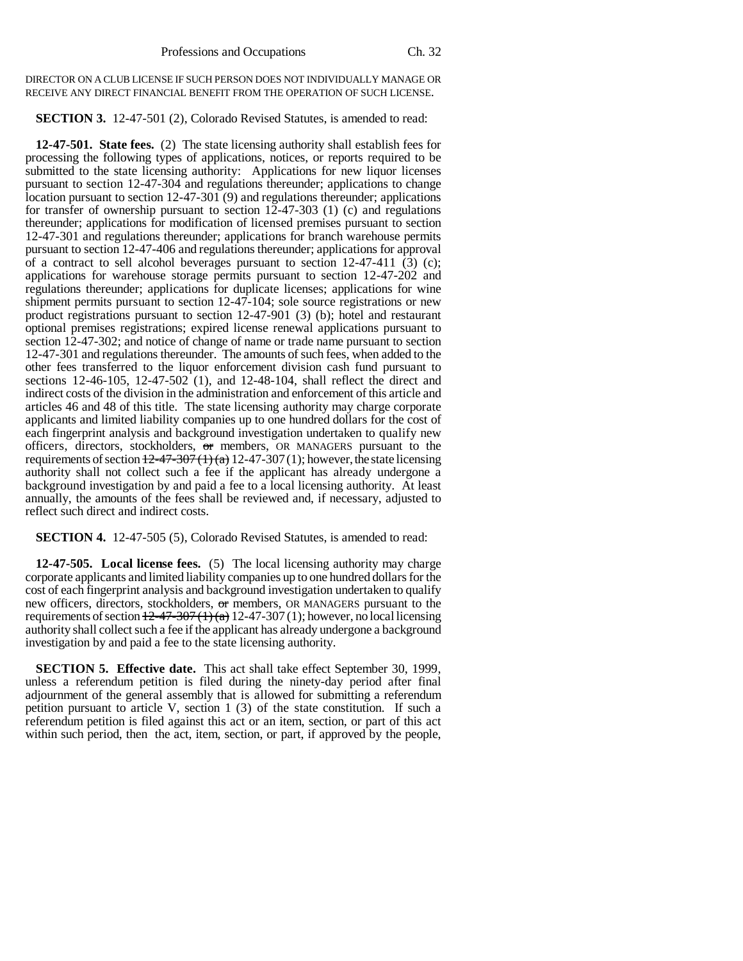DIRECTOR ON A CLUB LICENSE IF SUCH PERSON DOES NOT INDIVIDUALLY MANAGE OR RECEIVE ANY DIRECT FINANCIAL BENEFIT FROM THE OPERATION OF SUCH LICENSE.

**SECTION 3.** 12-47-501 (2), Colorado Revised Statutes, is amended to read:

**12-47-501. State fees.** (2) The state licensing authority shall establish fees for processing the following types of applications, notices, or reports required to be submitted to the state licensing authority: Applications for new liquor licenses pursuant to section 12-47-304 and regulations thereunder; applications to change location pursuant to section  $12-47-301(9)$  and regulations thereunder; applications for transfer of ownership pursuant to section 12-47-303 (1) (c) and regulations thereunder; applications for modification of licensed premises pursuant to section 12-47-301 and regulations thereunder; applications for branch warehouse permits pursuant to section 12-47-406 and regulations thereunder; applications for approval of a contract to sell alcohol beverages pursuant to section  $12-47-411$  (3) (c); applications for warehouse storage permits pursuant to section 12-47-202 and regulations thereunder; applications for duplicate licenses; applications for wine shipment permits pursuant to section 12-47-104; sole source registrations or new product registrations pursuant to section 12-47-901 (3) (b); hotel and restaurant optional premises registrations; expired license renewal applications pursuant to section 12-47-302; and notice of change of name or trade name pursuant to section 12-47-301 and regulations thereunder. The amounts of such fees, when added to the other fees transferred to the liquor enforcement division cash fund pursuant to sections 12-46-105, 12-47-502 (1), and 12-48-104, shall reflect the direct and indirect costs of the division in the administration and enforcement of this article and articles 46 and 48 of this title. The state licensing authority may charge corporate applicants and limited liability companies up to one hundred dollars for the cost of each fingerprint analysis and background investigation undertaken to qualify new officers, directors, stockholders, or members, OR MANAGERS pursuant to the requirements of section  $\frac{12-47-307(1)}{a}$  12-47-307(1); however, the state licensing authority shall not collect such a fee if the applicant has already undergone a background investigation by and paid a fee to a local licensing authority. At least annually, the amounts of the fees shall be reviewed and, if necessary, adjusted to reflect such direct and indirect costs.

**SECTION 4.** 12-47-505 (5), Colorado Revised Statutes, is amended to read:

**12-47-505. Local license fees.** (5) The local licensing authority may charge corporate applicants and limited liability companies up to one hundred dollars for the cost of each fingerprint analysis and background investigation undertaken to qualify new officers, directors, stockholders, or members, OR MANAGERS pursuant to the requirements of section  $\frac{12-47-307(1)}{a}$  12-47-307 (1); however, no local licensing authority shall collect such a fee if the applicant has already undergone a background investigation by and paid a fee to the state licensing authority.

**SECTION 5. Effective date.** This act shall take effect September 30, 1999, unless a referendum petition is filed during the ninety-day period after final adjournment of the general assembly that is allowed for submitting a referendum petition pursuant to article V, section 1 (3) of the state constitution. If such a referendum petition is filed against this act or an item, section, or part of this act within such period, then the act, item, section, or part, if approved by the people,